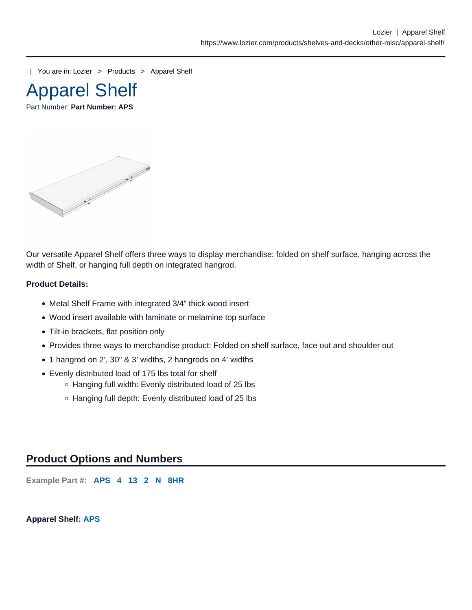| You are in: [Lozier](https://www.lozier.com) > [Products](https://www.lozier.com/products/) > [Apparel Shelf](https://www.lozier.com/products/shelves-and-decks/other-misc/apparel-shelf/)



Part Number: Part Number: APS

Our versatile Apparel Shelf offers three ways to display merchandise: folded on shelf surface, hanging across the width of Shelf, or hanging full depth on integrated hangrod.

Product Details:

- Metal Shelf Frame with integrated 3/4" thick wood insert
- Wood insert available with laminate or melamine top surface
- Tilt-in brackets, flat position only
- Provides three ways to merchandise product: Folded on shelf surface, face out and shoulder out
- 1 hangrod on 2', 30" & 3' widths, 2 hangrods on 4' widths
- Evenly distributed load of 175 lbs total for shelf
	- Hanging full width: Evenly distributed load of 25 lbs
	- o Hanging full depth: Evenly distributed load of 25 lbs

## Product Options and Numbers

Example Part #: APS 4 13 2 N 8HR

Apparel Shelf: APS